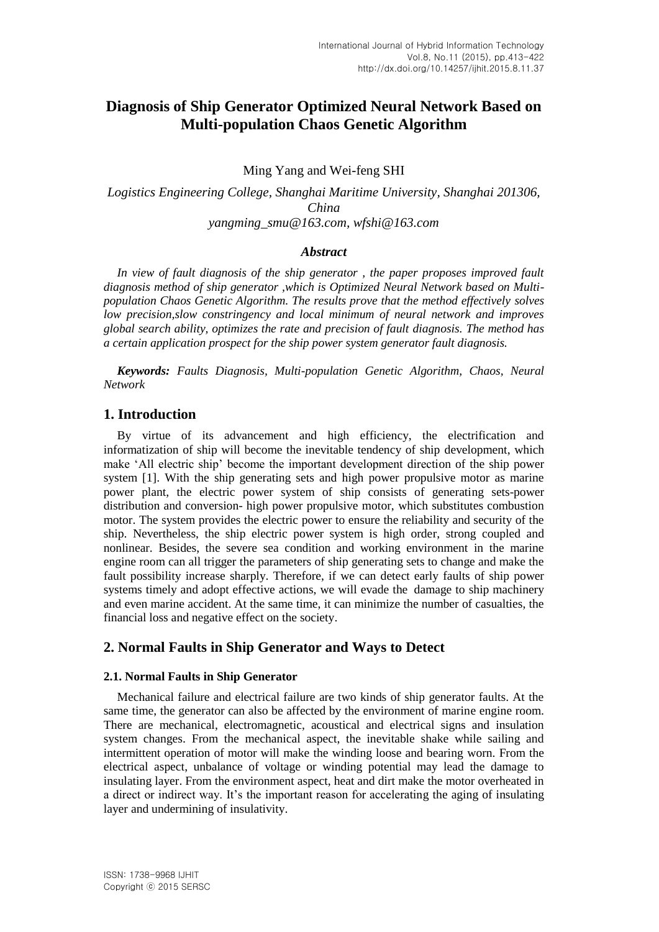# **Diagnosis of Ship Generator Optimized Neural Network Based on Multi-population Chaos Genetic Algorithm**

Ming Yang and Wei-feng SHI

*Logistics Engineering College, Shanghai Maritime University, Shanghai 201306, China yangming\_smu@163.com, wfshi@163.com*

### *Abstract*

*In view of fault diagnosis of the ship generator , the paper proposes improved fault diagnosis method of ship generator ,which is Optimized Neural Network based on Multipopulation Chaos Genetic Algorithm. The results prove that the method effectively solves low precision,slow constringency and local minimum of neural network and improves global search ability, optimizes the rate and precision of fault diagnosis. The method has a certain application prospect for the ship power system generator fault diagnosis.*

*Keywords: Faults Diagnosis, Multi-population Genetic Algorithm, Chaos, Neural Network*

# **1. Introduction**

By virtue of its advancement and high efficiency, the electrification and informatization of ship will become the inevitable tendency of ship development, which make 'All electric ship' become the important development direction of the ship power system [1]. With the ship generating sets and high power propulsive motor as marine power plant, the electric power system of ship consists of generating sets-power distribution and conversion- high power propulsive motor, which substitutes combustion motor. The system provides the electric power to ensure the reliability and security of the ship. Nevertheless, the ship electric power system is high order, strong coupled and nonlinear. Besides, the severe sea condition and working environment in the marine engine room can all trigger the parameters of ship generating sets to change and make the fault possibility increase sharply. Therefore, if we can detect early faults of ship power systems timely and adopt effective actions, we will evade the damage to ship machinery and even marine accident. At the same time, it can minimize the number of casualties, the financial loss and negative effect on the society.

# **2. Normal Faults in Ship Generator and Ways to Detect**

### **2.1. Normal Faults in Ship Generator**

Mechanical failure and electrical failure are two kinds of ship generator faults. At the same time, the generator can also be affected by the environment of marine engine room. There are mechanical, electromagnetic, acoustical and electrical signs and insulation system changes. From the mechanical aspect, the inevitable shake while sailing and intermittent operation of motor will make the winding loose and bearing worn. From the electrical aspect, unbalance of voltage or winding potential may lead the damage to insulating layer. From the environment aspect, heat and dirt make the motor overheated in a direct or indirect way. It's the important reason for accelerating the aging of insulating layer and undermining of insulativity.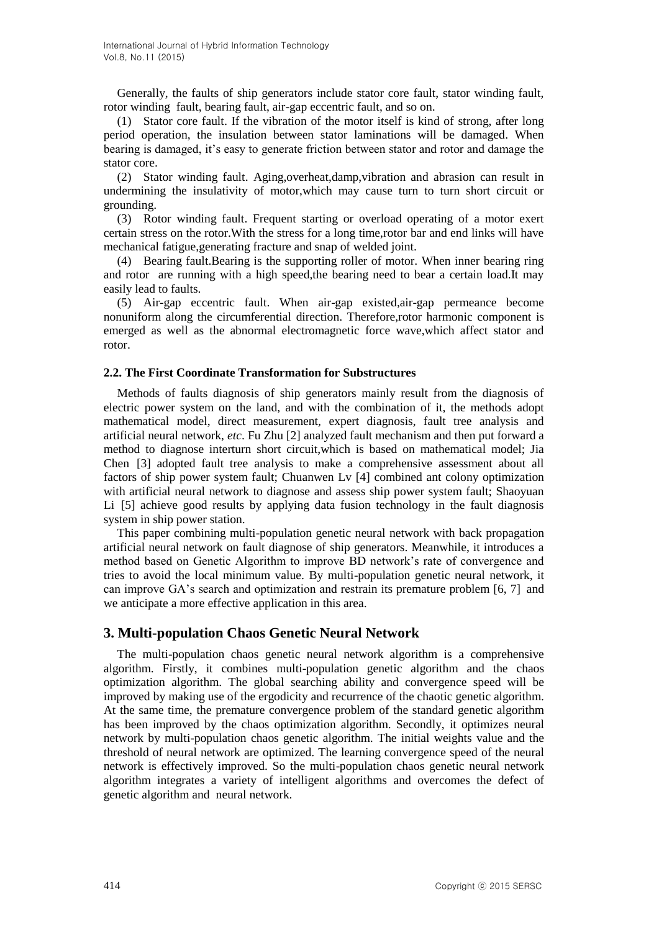Generally, the faults of ship generators include stator core fault, stator winding fault, rotor winding fault, bearing fault, air-gap eccentric fault, and so on.

(1) Stator core fault. If the vibration of the motor itself is kind of strong, after long period operation, the insulation between stator laminations will be damaged. When bearing is damaged, it's easy to generate friction between stator and rotor and damage the stator core.

(2) Stator winding fault. Aging,overheat,damp,vibration and abrasion can result in undermining the insulativity of motor,which may cause turn to turn short circuit or grounding.

(3) Rotor winding fault. Frequent starting or overload operating of a motor exert certain stress on the rotor.With the stress for a long time,rotor bar and end links will have mechanical fatigue,generating fracture and snap of welded joint.

(4) Bearing fault.Bearing is the supporting roller of motor. When inner bearing ring and rotor are running with a high speed,the bearing need to bear a certain load.It may easily lead to faults.

(5) Air-gap eccentric fault. When air-gap existed,air-gap permeance become nonuniform along the circumferential direction. Therefore,rotor harmonic component is emerged as well as the abnormal electromagnetic force wave,which affect stator and rotor.

### **2.2. The First Coordinate Transformation for Substructures**

Methods of faults diagnosis of ship generators mainly result from the diagnosis of electric power system on the land, and with the combination of it, the methods adopt mathematical model, direct measurement, expert diagnosis, fault tree analysis and artificial neural network, *etc*. Fu Zhu [2] analyzed fault mechanism and then put forward a method to diagnose interturn short circuit,which is based on mathematical model; Jia Chen [3] adopted fault tree analysis to make a comprehensive assessment about all factors of ship power system fault; Chuanwen Lv [4] combined ant colony optimization with artificial neural network to diagnose and assess ship power system fault; Shaoyuan Li [5] achieve good results by applying data fusion technology in the fault diagnosis system in ship power station.

This paper combining multi-population genetic neural network with back propagation artificial neural network on fault diagnose of ship generators. Meanwhile, it introduces a method based on Genetic Algorithm to improve BD network's rate of convergence and tries to avoid the local minimum value. By multi-population genetic neural network, it can improve GA's search and optimization and restrain its premature problem [6, 7] and we anticipate a more effective application in this area.

# **3. Multi-population Chaos Genetic Neural Network**

The multi-population chaos genetic neural network algorithm is a comprehensive algorithm. Firstly, it combines multi-population genetic algorithm and the chaos optimization algorithm. The global searching ability and convergence speed will be improved by making use of the ergodicity and recurrence of the chaotic genetic algorithm. At the same time, the premature convergence problem of the standard genetic algorithm has been improved by the chaos optimization algorithm. Secondly, it optimizes neural network by multi-population chaos genetic algorithm. The initial weights value and the threshold of neural network are optimized. The learning convergence speed of the neural network is effectively improved. So the multi-population chaos genetic neural network algorithm integrates a variety of intelligent algorithms and overcomes the defect of genetic algorithm and neural network.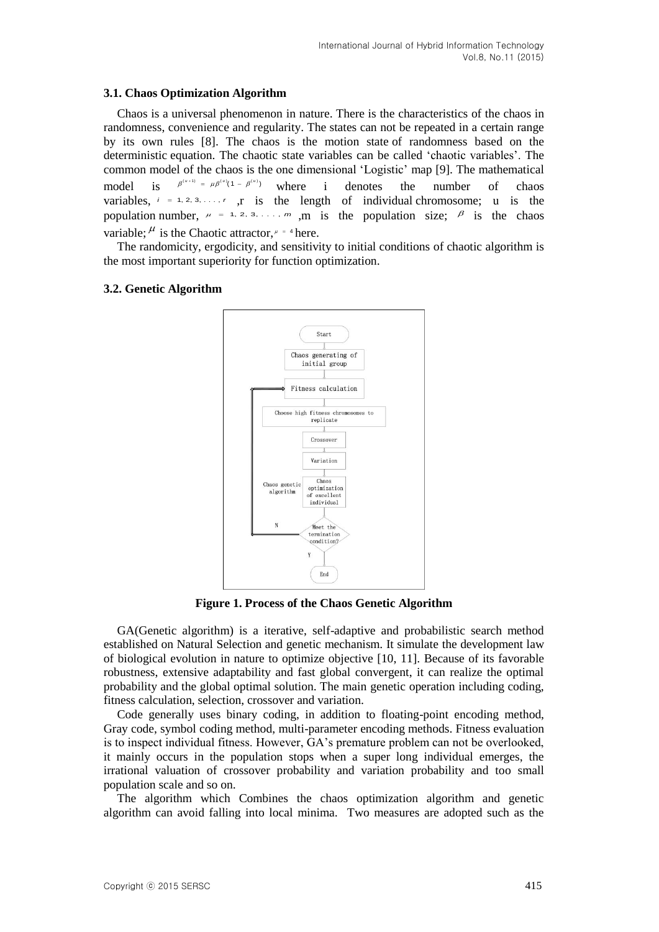# **3.1. Chaos Optimization Algorithm**

Chaos is a universal phenomenon in nature. There is the characteristics of the chaos in randomness, convenience and regularity. The states can not be repeated in a certain range by its own rules [8]. The chaos is the motion state of randomness based on the deterministic equation. The chaotic state variables can be called 'chaotic variables'. The common model of the chaos is the one dimensional 'Logistic' map [9]. The mathematical model is  $\beta^{(u+1)} = \mu \beta^{(u)} (1 - \beta^{(u)})$ i denotes the number of chaos variables,  $i = 1, 2, 3, \ldots, r$ , is the length of individual chromosome; u is the population number,  $\mu = 1, 2, 3, \ldots, m$ , m is the population size;  $\beta$  is the chaos variable;  $\mu$  is the Chaotic attractor,  $\mu = 4$  here.

The randomicity, ergodicity, and sensitivity to initial conditions of chaotic algorithm is the most important superiority for function optimization.

# **3.2. Genetic Algorithm**



**Figure 1. Process of the Chaos Genetic Algorithm**

GA(Genetic algorithm) is a iterative, self-adaptive and probabilistic search method established on Natural Selection and genetic mechanism. It simulate the development law of biological evolution in nature to optimize objective [10, 11]. Because of its favorable robustness, extensive adaptability and fast global convergent, it can realize the optimal probability and the global optimal solution. The main genetic operation including coding, fitness calculation, selection, crossover and variation.

Code generally uses binary coding, in addition to floating-point encoding method, Gray code, symbol coding method, multi-parameter encoding methods. Fitness evaluation is to inspect individual fitness. However, GA's premature problem can not be overlooked, it mainly occurs in the population stops when a super long individual emerges, the irrational valuation of crossover probability and variation probability and too small population scale and so on.

The algorithm which Combines the chaos optimization algorithm and genetic algorithm can avoid falling into local minima. Two measures are adopted such as the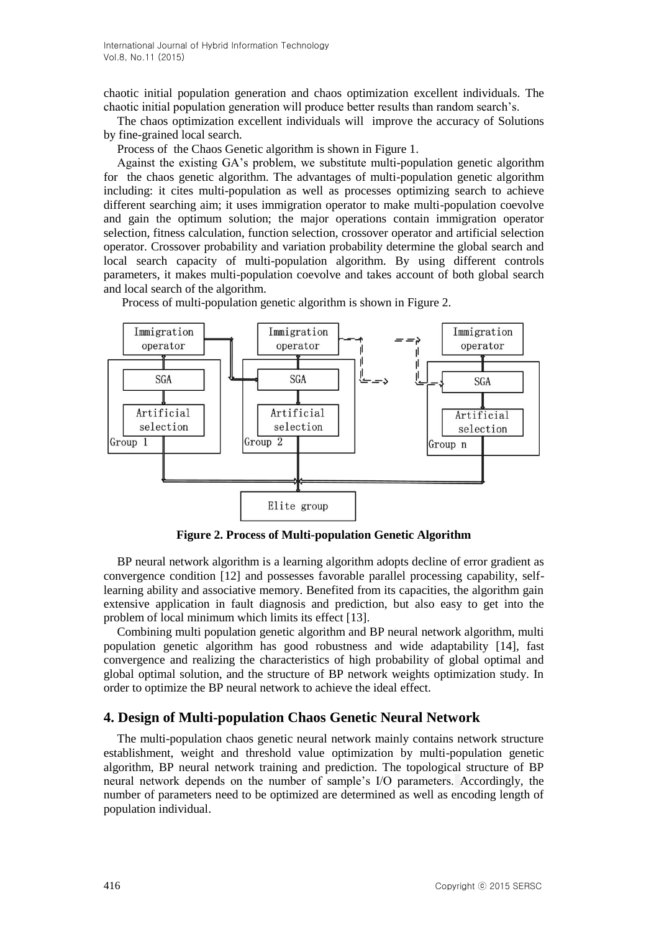chaotic initial population generation and chaos optimization excellent individuals. The chaotic initial population generation will produce better results than random search's.

The chaos optimization excellent individuals will improve the accuracy of Solutions by fine-grained local search.

Process of the Chaos Genetic algorithm is shown in Figure 1.

Against the existing GA's problem, we substitute multi-population genetic algorithm for the chaos genetic algorithm. The advantages of multi-population genetic algorithm including: it cites multi-population as well as processes optimizing search to achieve different searching aim; it uses immigration operator to make multi-population coevolve and gain the optimum solution; the major operations contain immigration operator selection, fitness calculation, function selection, crossover operator and artificial selection operator. Crossover probability and variation probability determine the global search and local search capacity of multi-population algorithm. By using different controls parameters, it makes multi-population coevolve and takes account of both global search and local search of the algorithm.



Process of multi-population genetic algorithm is shown in Figure 2.

**Figure 2. Process of Multi-population Genetic Algorithm**

BP neural network algorithm is a learning algorithm adopts decline of error gradient as convergence condition [12] and possesses favorable parallel processing capability, selflearning ability and associative memory. Benefited from its capacities, the algorithm gain extensive application in fault diagnosis and prediction, but also easy to get into the problem of local minimum which limits its effect [13].

Combining multi population genetic algorithm and BP neural network algorithm, multi population genetic algorithm has good robustness and wide adaptability [14], fast convergence and realizing the characteristics of high probability of global optimal and global optimal solution, and the structure of BP network weights optimization study. In order to optimize the BP neural network to achieve the ideal effect.

### **4. Design of Multi-population Chaos Genetic Neural Network**

The multi-population chaos genetic neural network mainly contains network structure establishment, weight and threshold value optimization by multi-population genetic algorithm, BP neural network training and prediction. The topological structure of BP neural network depends on the number of sample's I/O parameters. Accordingly, the number of parameters need to be optimized are determined as well as encoding length of population individual.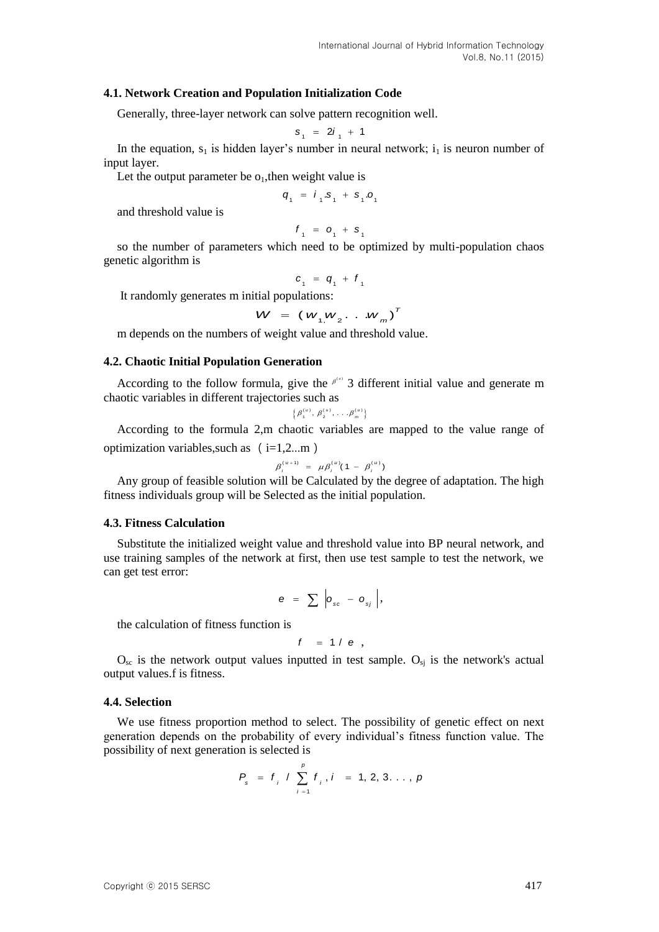### **4.1. Network Creation and Population Initialization Code**

Generally, three-layer network can solve pattern recognition well.

$$
s_1 = 2i_1 + 1
$$

In the equation,  $s_1$  is hidden layer's number in neural network;  $i_1$  is neuron number of input layer.

Let the output parameter be  $o_1$ , then weight value is

$$
q_1 = i_1 \cdot s_1 + s_1 \cdot o_1
$$

and threshold value is

$$
f_{1} = o_{1} + s_{1}
$$

so the number of parameters which need to be optimized by multi-population chaos genetic algorithm is

$$
c_{1} = q_{1} + f_{1}
$$

It randomly generates m initial populations:

$$
W = (w_{1,1}w_{2}, \ldots w_{m})^{T}
$$

m depends on the numbers of weight value and threshold value.

# **4.2. Chaotic Initial Population Generation**

According to the follow formula, give the  $\beta^{\mu\nu}$  3 different initial value and generate m chaotic variables in different trajectories such as

$$
\left\{\beta_1^{(u)},\ \beta_2^{(u)},\ldots,\beta_m^{(u)}\right\}
$$

According to the formula 2,m chaotic variables are mapped to the value range of optimization variables, such as  $(i=1,2...m)$ 

$$
\beta_i^{(u+1)} = \mu \beta_i^{(u)} (1 - \beta_i^{(u)})
$$

Any group of feasible solution will be Calculated by the degree of adaptation. The high fitness individuals group will be Selected as the initial population.

#### **4.3. Fitness Calculation**

Substitute the initialized weight value and threshold value into BP neural network, and use training samples of the network at first, then use test sample to test the network, we can get test error:

$$
e = \sum_{s} \left| o_{s} - o_{s} \right|,
$$

the calculation of fitness function is

$$
f = 1/e ,
$$

 $O_{\rm sc}$  is the network output values inputted in test sample.  $O_{\rm si}$  is the network's actual output values.f is fitness.

### **4.4. Selection**

We use fitness proportion method to select. The possibility of genetic effect on next generation depends on the probability of every individual's fitness function value. The possibility of next generation is selected is

$$
P_{s} = f_{i} / \sum_{i=1}^{p} f_{i}, i = 1, 2, 3, ..., p
$$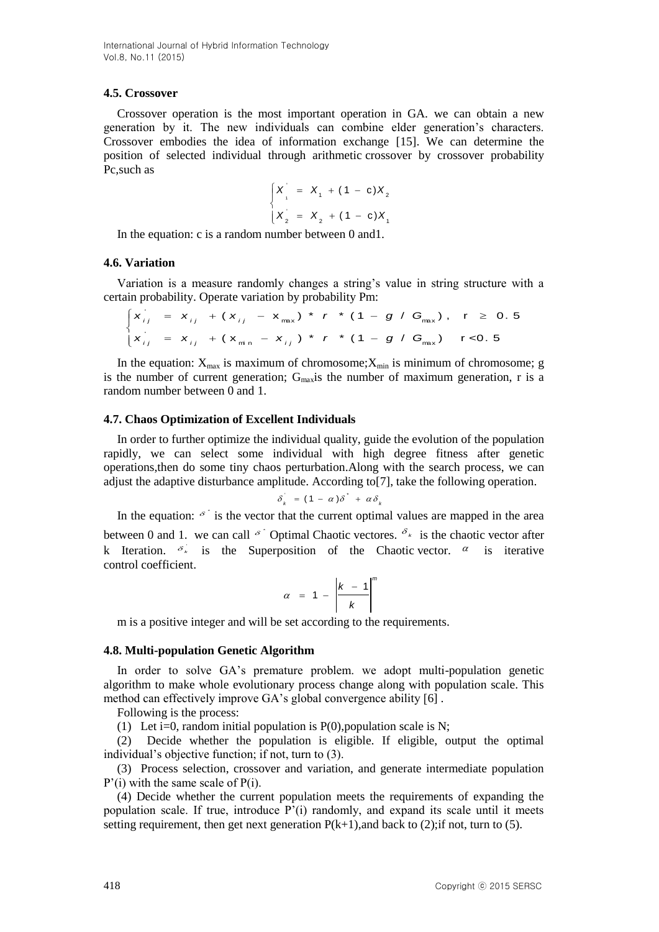International Journal of Hybrid Information Technology Vol.8, No.11 (2015)

### **4.5. Crossover**

Crossover operation is the most important operation in GA. we can obtain a new generation by it. The new individuals can combine elder generation's characters. Crossover embodies the idea of information exchange [15]. We can determine the position of selected individual through arithmetic crossover by crossover probability Pc,such as

$$
\begin{cases}\nX_1' = X_1 + (1 - c)X_2 \\
X_2' = X_2 + (1 - c)X_1\n\end{cases}
$$

In the equation: c is a random number between 0 and1.

# **4.6. Variation**

Variation is a measure randomly changes a string's value in string structure with a tain probability. Operate variation by probability Pm:<br> $\int x_{ij} = x_{ij} + (x_{ij} - x_{max}) * r * (1 - g / G_{max})$ ,  $r \ge 0.5$ 

certain probability. Operate variation by probability Pm:  
\n
$$
\begin{cases}\n x_{ij} = x_{ij} + (x_{ij} - x_{max}) * r * (1 - g / G_{max}), & r \ge 0.5 \\
 x_{ij} = x_{ij} + (x_{min} - x_{ij}) * r * (1 - g / G_{max}) & r < 0.5\n\end{cases}
$$

In the equation:  $X_{\text{max}}$  is maximum of chromosome; $X_{\text{min}}$  is minimum of chromosome; g is the number of current generation;  $G_{max}$  is the number of maximum generation, r is a random number between 0 and 1.

### **4.7. Chaos Optimization of Excellent Individuals**

In order to further optimize the individual quality, guide the evolution of the population rapidly, we can select some individual with high degree fitness after genetic operations,then do some tiny chaos perturbation.Along with the search process, we can adjust the adaptive disturbance amplitude. According to[7], take the following operation.

$$
\delta_k = (1 - \alpha) \delta^* + \alpha \delta_k
$$

In the equation:  $\delta^{\dagger}$  is the vector that the current optimal values are mapped in the area between 0 and 1. we can call  $\delta$  Optimal Chaotic vectores.  $\delta_{\kappa}$  is the chaotic vector after k Iteration.  $\delta_{\kappa}$  is the Superposition of the Chaotic vector.  $\alpha$  is iterative control coefficient.

$$
\alpha = 1 - \left| \frac{k-1}{k} \right|^m
$$

m is a positive integer and will be set according to the requirements.

# **4.8. Multi-population Genetic Algorithm**

In order to solve GA's premature problem. we adopt multi-population genetic algorithm to make whole evolutionary process change along with population scale. This method can effectively improve GA's global convergence ability [6] .

Following is the process:

(1) Let i=0, random initial population is  $P(0)$ , population scale is N;

(2) Decide whether the population is eligible. If eligible, output the optimal individual's objective function; if not, turn to (3).

(3) Process selection, crossover and variation, and generate intermediate population P'(i) with the same scale of P(i).

(4) Decide whether the current population meets the requirements of expanding the population scale. If true, introduce  $P'(i)$  randomly, and expand its scale until it meets setting requirement, then get next generation  $P(k+1)$ , and back to (2); if not, turn to (5).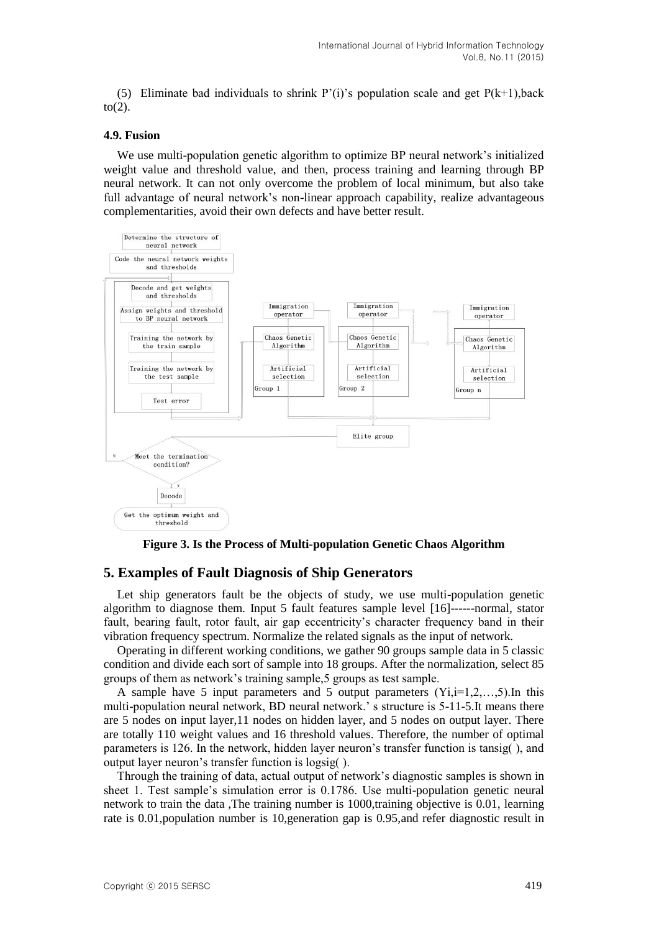(5) Eliminate bad individuals to shrink P'(i)'s population scale and get  $P(k+1)$ , back  $to(2)$ .

#### **4.9. Fusion**

We use multi-population genetic algorithm to optimize BP neural network's initialized weight value and threshold value, and then, process training and learning through BP neural network. It can not only overcome the problem of local minimum, but also take full advantage of neural network's non-linear approach capability, realize advantageous complementarities, avoid their own defects and have better result.



**Figure 3. Is the Process of Multi-population Genetic Chaos Algorithm**

# **5. Examples of Fault Diagnosis of Ship Generators**

Let ship generators fault be the objects of study, we use multi-population genetic algorithm to diagnose them. Input 5 fault features sample level [16]------normal, stator fault, bearing fault, rotor fault, air gap eccentricity's character frequency band in their vibration frequency spectrum. Normalize the related signals as the input of network.

Operating in different working conditions, we gather 90 groups sample data in 5 classic condition and divide each sort of sample into 18 groups. After the normalization, select 85 groups of them as network's training sample,5 groups as test sample.

A sample have 5 input parameters and 5 output parameters  $(Y_i,i=1,2,...,5)$ . In this multi-population neural network, BD neural network.' s structure is 5-11-5.It means there are 5 nodes on input layer,11 nodes on hidden layer, and 5 nodes on output layer. There are totally 110 weight values and 16 threshold values. Therefore, the number of optimal parameters is 126. In the network, hidden layer neuron's transfer function is tansig( ), and output layer neuron's transfer function is logsig( ).

Through the training of data, actual output of network's diagnostic samples is shown in sheet 1. Test sample's simulation error is 0.1786. Use multi-population genetic neural network to train the data ,The training number is 1000,training objective is 0.01, learning rate is 0.01, population number is 10, generation gap is 0.95, and refer diagnostic result in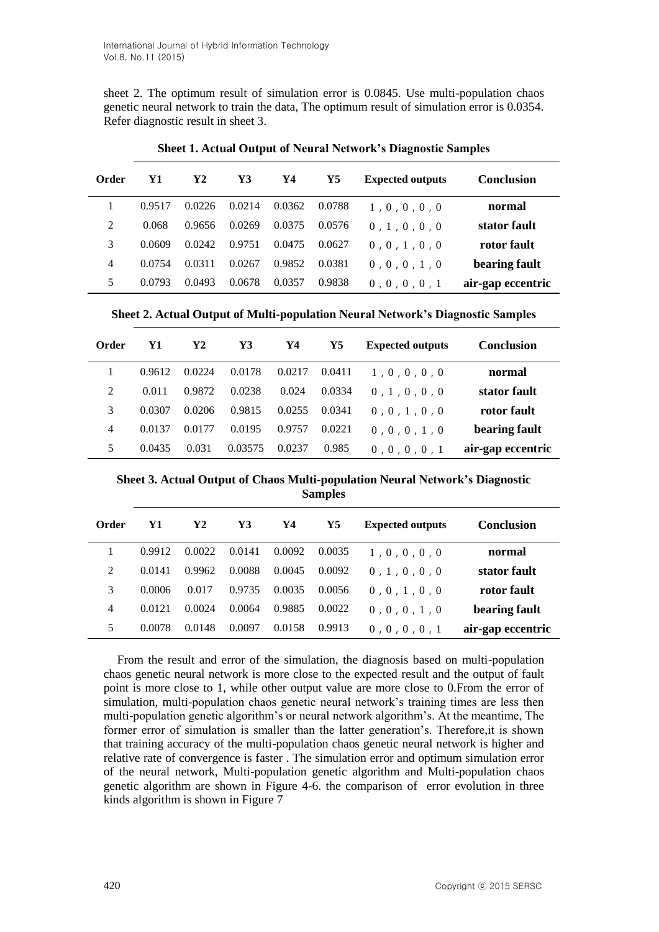sheet 2. The optimum result of simulation error is 0.0845. Use multi-population chaos genetic neural network to train the data, The optimum result of simulation error is 0.0354. Refer diagnostic result in sheet 3.

| Conclusion        | <b>Expected outputs</b> | Y5     | Y4     | Y3     | Y2     | Y1     | Order          |
|-------------------|-------------------------|--------|--------|--------|--------|--------|----------------|
| normal            | 1, 0, 0, 0, 0           | 0.0788 | 0.0362 | 0.0214 | 0.0226 | 0.9517 |                |
| stator fault      | 0, 1, 0, 0, 0           | 0.0576 | 0.0375 | 0.0269 | 0.9656 | 0.068  | 2              |
| rotor fault       | 0, 0, 1, 0, 0           | 0.0627 | 0.0475 | 0.9751 | 0.0242 | 0.0609 | 3              |
| bearing fault     | 0, 0, 0, 1, 0           | 0.0381 | 0.9852 | 0.0267 | 0.0311 | 0.0754 | $\overline{4}$ |
| air-gap eccentric | 0, 0, 0, 0, 1           | 0.9838 | 0.0357 | 0.0678 | 0.0493 | 0.0793 | 5              |

**Sheet 1. Actual Output of Neural Network's Diagnostic Samples**

**Sheet 2. Actual Output of Multi-population Neural Network's Diagnostic Samples**

| Order          | Y1     | Y2     | Y3      | Y4     | Y5     | <b>Expected outputs</b> | Conclusion        |
|----------------|--------|--------|---------|--------|--------|-------------------------|-------------------|
|                | 0.9612 | 0.0224 | 0.0178  | 0.0217 | 0.0411 | 1, 0, 0, 0, 0           | normal            |
| 2              | 0.011  | 0.9872 | 0.0238  | 0.024  | 0.0334 | 0.1.0.0.0               | stator fault      |
| 3              | 0.0307 | 0.0206 | 0.9815  | 0.0255 | 0.0341 | 0, 0, 1, 0, 0           | rotor fault       |
| $\overline{4}$ | 0.0137 | 0.0177 | 0.0195  | 0.9757 | 0.0221 | 0, 0, 0, 1, 0           | bearing fault     |
| 5              | 0.0435 | 0.031  | 0.03575 | 0.0237 | 0.985  | 0, 0, 0, 0, 1           | air-gap eccentric |

**Sheet 3. Actual Output of Chaos Multi-population Neural Network's Diagnostic Samples**

| Order | Y1     | Y2     | Y3     | Y4     | Y5     | <b>Expected outputs</b> | <b>Conclusion</b> |
|-------|--------|--------|--------|--------|--------|-------------------------|-------------------|
|       | 0.9912 | 0.0022 | 0.0141 | 0.0092 | 0.0035 | 1, 0, 0, 0, 0           | normal            |
| 2     | 0.0141 | 0.9962 | 0.0088 | 0.0045 | 0.0092 | 0, 1, 0, 0, 0           | stator fault      |
| 3     | 0.0006 | 0.017  | 0.9735 | 0.0035 | 0.0056 | 0, 0, 1, 0, 0           | rotor fault       |
| 4     | 0.0121 | 0.0024 | 0.0064 | 0.9885 | 0.0022 | 0, 0, 0, 1, 0           | bearing fault     |
| 5     | 0.0078 | 0.0148 | 0.0097 | 0.0158 | 0.9913 | 0, 0, 0, 0, 1           | air-gap eccentric |

From the result and error of the simulation, the diagnosis based on multi-population chaos genetic neural network is more close to the expected result and the output of fault point is more close to 1, while other output value are more close to 0.From the error of simulation, multi-population chaos genetic neural network's training times are less then multi-population genetic algorithm's or neural network algorithm's. At the meantime, The former error of simulation is smaller than the latter generation's. Therefore,it is shown that training accuracy of the multi-population chaos genetic neural network is higher and relative rate of convergence is faster . The simulation error and optimum simulation error of the neural network, Multi-population genetic algorithm and Multi-population chaos genetic algorithm are shown in Figure 4-6. the comparison of error evolution in three kinds algorithm is shown in Figure 7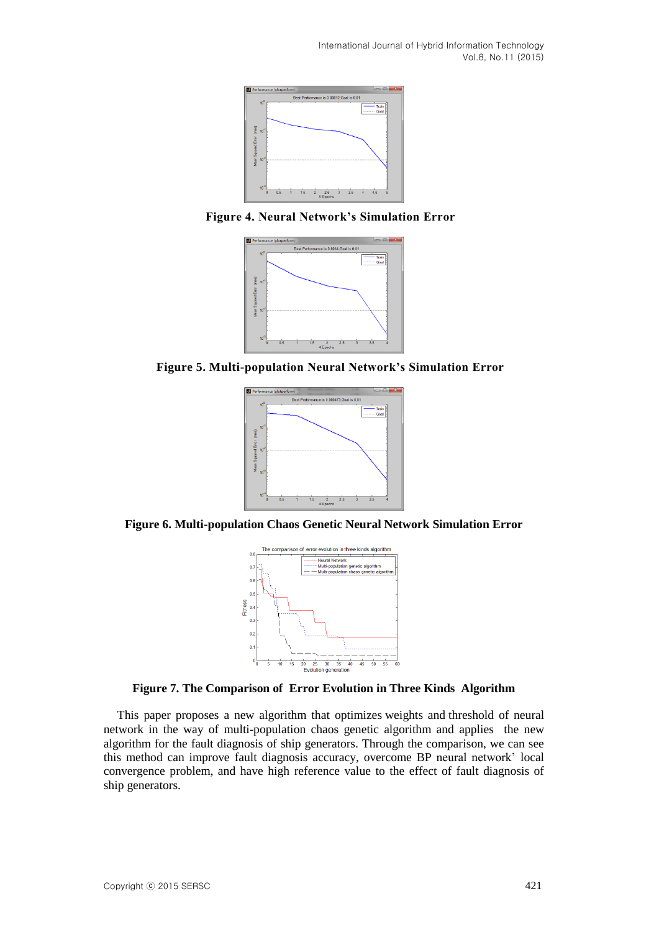International Journal of Hybrid Information Technology Vol.8, No.11 (2015)



**Figure 4. Neural Network's Simulation Error**



**Figure 5. Multi-population Neural Network's Simulation Error**









This paper proposes a new algorithm that optimizes weights and threshold of neural network in the way of multi-population chaos genetic algorithm and applies the new algorithm for the fault diagnosis of ship generators. Through the comparison, we can see this method can improve fault diagnosis accuracy, overcome BP neural network' local convergence problem, and have high reference value to the effect of fault diagnosis of ship generators.